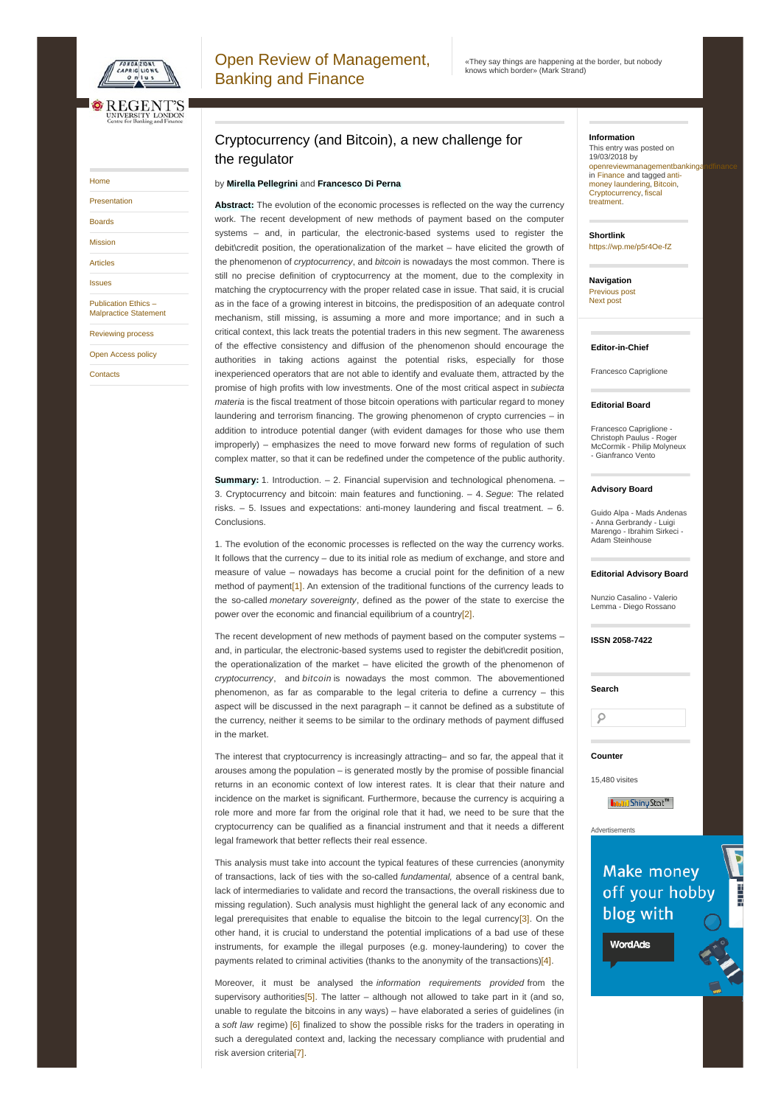<span id="page-0-0"></span>

# [Home](https://openreviewmbf.org/) [Presentation](https://openreviewmbf.org/presentation-2/) [Boards](https://openreviewmbf.org/boards-3/) [Mission](https://openreviewmbf.org/mission/) [Articles](https://openreviewmbf.org/archives/) [Issues](https://openreviewmbf.org/issues/) Publication Ethics – [Malpractice](https://openreviewmbf.org/boards-2/) Statement [Reviewing](https://openreviewmbf.org/boards/) process

Open [Access](https://openreviewmbf.org/info/) policy

**[Contacts](https://openreviewmbf.org/contacts/)** 

## Cryptocurrency (and Bitcoin), a new challenge for the regulator

## by **Mirella Pellegrini** and **Francesco Di Perna**

**Abstract:** The evolution of the economic processes is reflected on the way the currency work. The recent development of new methods of payment based on the computer systems – and, in particular, the electronic-based systems used to register the debit\credit position, the operationalization of the market – have elicited the growth of the phenomenon of *cryptocurrency*, and *bitcoin* is nowadays the most common. There is still no precise definition of cryptocurrency at the moment, due to the complexity in matching the cryptocurrency with the proper related case in issue. That said, it is crucial as in the face of a growing interest in bitcoins, the predisposition of an adequate control mechanism, still missing, is assuming a more and more importance; and in such a critical context, this lack treats the potential traders in this new segment. The awareness of the effective consistency and diffusion of the phenomenon should encourage the authorities in taking actions against the potential risks, especially for those inexperienced operators that are not able to identify and evaluate them, attracted by the promise of high profits with low investments. One of the most critical aspect in *subiecta materia* is the fiscal treatment of those bitcoin operations with particular regard to money laundering and terrorism financing. The growing phenomenon of crypto currencies – in addition to introduce potential danger (with evident damages for those who use them improperly) – emphasizes the need to move forward new forms of regulation of such complex matter, so that it can be redefined under the competence of the public authority.

**Summary:** 1. Introduction. – 2. Financial supervision and technological phenomena. – 3. Cryptocurrency and bitcoin: main features and functioning. – 4. *Segue*: The related risks. – 5. Issues and expectations: anti-money laundering and fiscal treatment. – 6. Conclusions.

1. The evolution of the economic processes is reflected on the way the currency works. It follows that the currency – due to its initial role as medium of exchange, and store and measure of value – nowadays has become a crucial point for the definition of a new method of payment<sup>[1]</sup>. An extension of the traditional functions of the currency leads to the so-called *monetary sovereignty*, defined as the power of the state to exercise the power over the economic and financial equilibrium of a countr[y\[2\]](#page-5-0).

The recent development of new methods of payment based on the computer systems – and, in particular, the electronic-based systems used to register the debit\credit position, the operationalization of the market – have elicited the growth of the phenomenon of *cryptocurrency*, and *bitcoin* is nowadays the most common. The abovementioned phenomenon, as far as comparable to the legal criteria to define a currency – this aspect will be discussed in the next paragraph – it cannot be defined as a substitute of the currency, neither it seems to be similar to the ordinary methods of payment diffused in the market.

The interest that cryptocurrency is increasingly attracting– and so far, the appeal that it arouses among the population – is generated mostly by the promise of possible financial returns in an economic context of low interest rates. It is clear that their nature and incidence on the market is significant. Furthermore, because the currency is acquiring a role more and more far from the original role that it had, we need to be sure that the cryptocurrency can be qualified as a financial instrument and that it needs a different legal framework that better reflects their real essence.

This analysis must take into account the typical features of these currencies (anonymity of transactions, lack of ties with the so-called *fundamental,* absence of a central bank, lack of intermediaries to validate and record the transactions, the overall riskiness due to missing regulation). Such analysis must highlight the general lack of any economic and legal prerequisites that enable to equalise the bitcoin to the legal currency[\[3\]](#page-5-1). On the other hand, it is crucial to understand the potential implications of a bad use of these instruments, for example the illegal purposes (e.g. money-laundering) to cover the payments related to criminal activities (thanks to the anonymity of the transactions[\)\[4\]](#page-5-2).

<span id="page-0-6"></span><span id="page-0-5"></span><span id="page-0-4"></span>Moreover, it must be analysed the *information requirements provided* from the supervisory authorities<sup>[5]</sup>. The latter – although not allowed to take part in it (and so, unable to regulate the bitcoins in any ways) – have elaborated a series of guidelines (in a *soft law* regime) [\[6\]](#page-5-4) finalized to show the possible risks for the traders in operating in such a deregulated context and, lacking the necessary compliance with prudential and risk aversion criteri[a\[7\]](#page-5-5).

## **Information**

This entry was posted on 19/03/2018 by openreviewmanagementbankinga in [Finance](https://openreviewmbf.org/category/finance/) and tagged anti- money [laundering,](https://openreviewmbf.org/tag/anti-money-laundering/) [Bitcoin](https://openreviewmbf.org/tag/bitcoin/), [Cryptocurrency,](https://openreviewmbf.org/tag/fiscal-treatment/) fiscal treatment.

**Shortlink** <https://wp.me/p5r4Oe-fZ>

**Navigation** [Previous](https://openreviewmbf.org/2017/12/24/the-normative-framework-of-non-performing-loans-regulatory-and-accounting-issues/) post [Next](https://openreviewmbf.org/2018/05/08/crisis-of-politics-and-economic-process-the-case-of-italy/) post

#### **Editor-in-Chief**

Francesco Capriglione

### **Editorial Board**

Francesco Capriglione - Christoph Paulus - Roger<br>McCormik - Philip Molyneux - Gianfranco Vento

### **Advisory Board**

Guido Alpa - Mads Andenas - Anna Gerbrandy - Luigi<br>Marengo - Ibrahim Sirkeci -Adam Steinhouse

### **Editorial Advisory Board**

<span id="page-0-1"></span>Nunzio Casalino - Valerio Lemma - Diego Rossano

**ISSN 2058-7422**

## **Counter**

**Search**

 $\circ$ 

15,480 visites

Advertisements

**Innini** Shiny Stat<sup>m</sup>

# Make money off your hobby blog with

Report this ad

<span id="page-0-3"></span><span id="page-0-2"></span>**WordAds**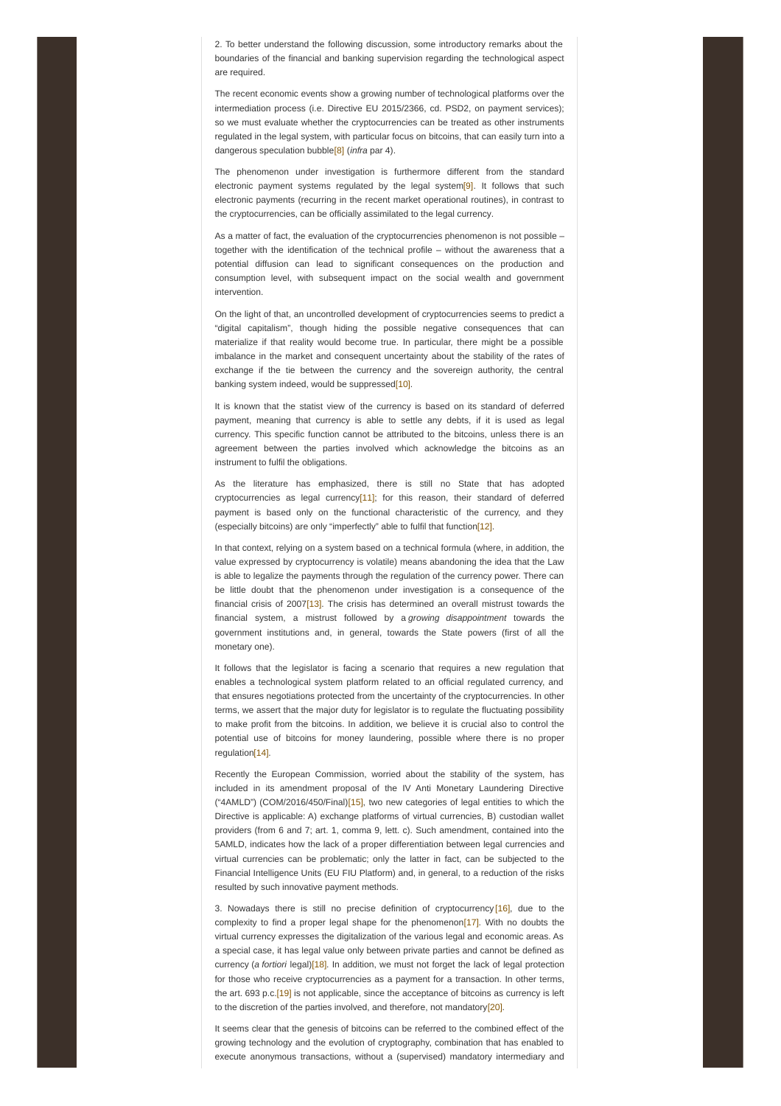2. To better understand the following discussion, some introductory remarks about the boundaries of the financial and banking supervision regarding the technological aspect are required.

The recent economic events show a growing number of technological platforms over the intermediation process (i.e. Directive EU 2015/2366, cd. PSD2, on payment services); so we must evaluate whether the cryptocurrencies can be treated as other instruments regulated in the legal system, with particular focus on bitcoins, that can easily turn into a dangerous speculation bubbl[e\[8\]](#page-5-6) (*infra* par 4).

<span id="page-1-1"></span><span id="page-1-0"></span>The phenomenon under investigation is furthermore different from the standard electronic payment systems regulated by the legal system<sup>[9]</sup>. It follows that such electronic payments (recurring in the recent market operational routines), in contrast to the cryptocurrencies, can be officially assimilated to the legal currency.

As a matter of fact, the evaluation of the cryptocurrencies phenomenon is not possible – together with the identification of the technical profile – without the awareness that a potential diffusion can lead to significant consequences on the production and consumption level, with subsequent impact on the social wealth and government intervention.

On the light of that, an uncontrolled development of cryptocurrencies seems to predict a "digital capitalism", though hiding the possible negative consequences that can materialize if that reality would become true. In particular, there might be a possible imbalance in the market and consequent uncertainty about the stability of the rates of exchange if the tie between the currency and the sovereign authority, the central banking system indeed, would be suppressed<sup>[10]</sup>.

<span id="page-1-2"></span>It is known that the statist view of the currency is based on its standard of deferred payment, meaning that currency is able to settle any debts, if it is used as legal currency. This specific function cannot be attributed to the bitcoins, unless there is an agreement between the parties involved which acknowledge the bitcoins as an instrument to fulfil the obligations.

<span id="page-1-3"></span>As the literature has emphasized, there is still no State that has adopted cryptocurrencies as legal currency $[11]$ ; for this reason, their standard of deferred payment is based only on the functional characteristic of the currency, and they (especially bitcoins) are only "imperfectly" able to fulfil that function<sup>[12]</sup>.

<span id="page-1-5"></span><span id="page-1-4"></span>In that context, relying on a system based on a technical formula (where, in addition, the value expressed by cryptocurrency is volatile) means abandoning the idea that the Law is able to legalize the payments through the regulation of the currency power. There can be little doubt that the phenomenon under investigation is a consequence of the financial crisis of 2007[\[13\]](#page-5-11). The crisis has determined an overall mistrust towards the financial system, a mistrust followed by a *growing disappointment* towards the government institutions and, in general, towards the State powers (first of all the monetary one).

It follows that the legislator is facing a scenario that requires a new regulation that enables a technological system platform related to an official regulated currency, and that ensures negotiations protected from the uncertainty of the cryptocurrencies. In other terms, we assert that the major duty for legislator is to regulate the fluctuating possibility to make profit from the bitcoins. In addition, we believe it is crucial also to control the potential use of bitcoins for money laundering, possible where there is no proper regulatio[n\[14\]](#page-5-12).

<span id="page-1-7"></span><span id="page-1-6"></span>Recently the European Commission, worried about the stability of the system, has included in its amendment proposal of the IV Anti Monetary Laundering Directive ("4AMLD") (COM/2016/450/Final[\)\[15\]](#page-5-13), two new categories of legal entities to which the Directive is applicable: A) exchange platforms of virtual currencies, B) custodian wallet providers (from 6 and 7; art. 1, comma 9, lett. c). Such amendment, contained into the 5AMLD, indicates how the lack of a proper differentiation between legal currencies and virtual currencies can be problematic; only the latter in fact, can be subjected to the Financial Intelligence Units (EU FIU Platform) and, in general, to a reduction of the risks resulted by such innovative payment methods.

<span id="page-1-10"></span><span id="page-1-9"></span><span id="page-1-8"></span>3. Nowadays there is still no precise definition of cryptocurrency [\[16\]](#page-5-14), due to the complexity to find a proper legal shape for the phenomenon<sup>[17]</sup>. With no doubts the virtual currency expresses the digitalization of the various legal and economic areas. As a special case, it has legal value only between private parties and cannot be defined as currency (*a fortiori* legal[\)\[18\]](#page-6-1). In addition, we must not forget the lack of legal protection for those who receive cryptocurrencies as a payment for a transaction. In other terms, the art. 693 p.c[.\[19\]](#page-6-2) is not applicable, since the acceptance of bitcoins as currency is left to the discretion of the parties involved, and therefore, not mandatory<sup>[20]</sup>.

<span id="page-1-12"></span><span id="page-1-11"></span>It seems clear that the genesis of bitcoins can be referred to the combined effect of the growing technology and the evolution of cryptography, combination that has enabled to execute anonymous transactions, without a (supervised) mandatory intermediary and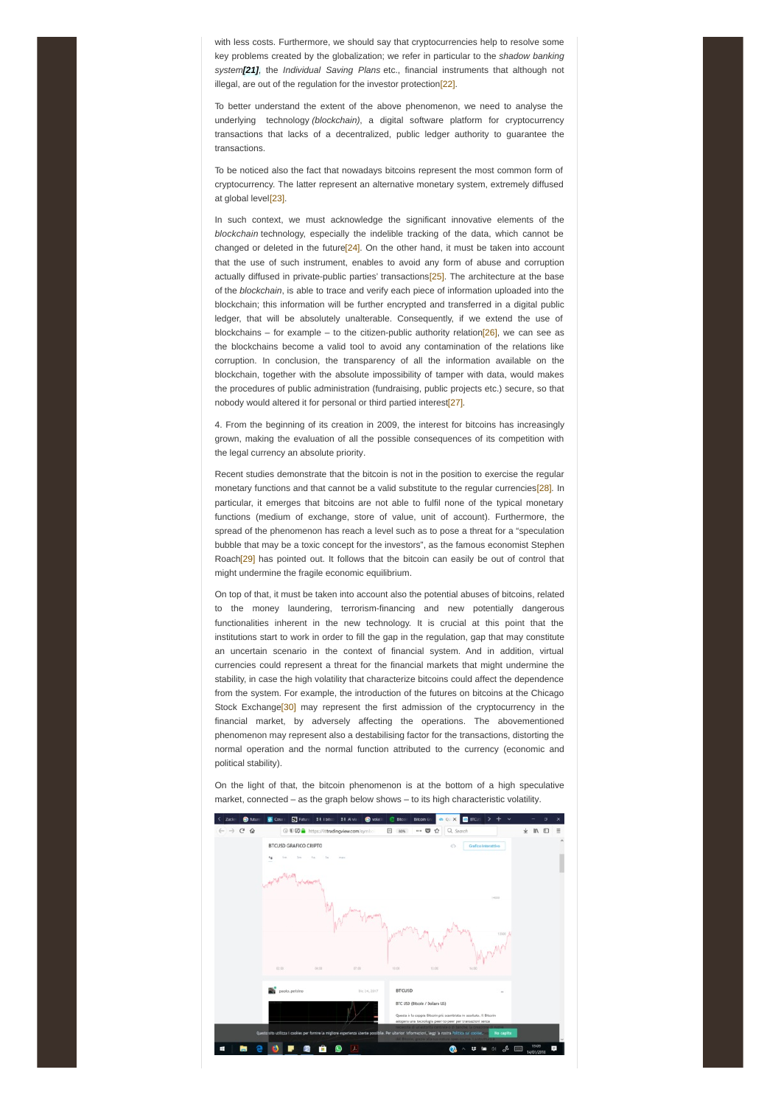<span id="page-2-0"></span>with less costs. Furthermore, we should say that cryptocurrencies help to resolve some key problems created by the globalization; we refer in particular to the *shadow banking system[\[21\]](#page-6-4),* the *Individual Saving Plans* etc., financial instruments that although not illegal, are out of the regulation for the investor protection<sup>[22]</sup>.

<span id="page-2-1"></span>To better understand the extent of the above phenomenon, we need to analyse the underlying technology *(blockchain)*, a digital software platform for cryptocurrency transactions that lacks of a decentralized, public ledger authority to guarantee the transactions.

To be noticed also the fact that nowadays bitcoins represent the most common form of cryptocurrency. The latter represent an alternative monetary system, extremely diffused at global level<sup>[23]</sup>.

<span id="page-2-4"></span><span id="page-2-3"></span><span id="page-2-2"></span>In such context, we must acknowledge the significant innovative elements of the *blockchain* technology, especially the indelible tracking of the data, which cannot be changed or deleted in the future<sup>[24]</sup>. On the other hand, it must be taken into account that the use of such instrument, enables to avoid any form of abuse and corruption actually diffused in private-public parties' transactions<sup>[\[25\]](#page-6-8)</sup>. The architecture at the base of the *blockchain*, is able to trace and verify each piece of information uploaded into the blockchain; this information will be further encrypted and transferred in a digital public ledger, that will be absolutely unalterable. Consequently, if we extend the use of blockchains – for example – to the citizen-public authority relation [26], we can see as the blockchains become a valid tool to avoid any contamination of the relations like corruption. In conclusion, the transparency of all the information available on the blockchain, together with the absolute impossibility of tamper with data, would makes the procedures of public administration (fundraising, public projects etc.) secure, so that nobody would altered it for personal or third partied interest<sup>[27]</sup>.

<span id="page-2-6"></span><span id="page-2-5"></span>4. From the beginning of its creation in 2009, the interest for bitcoins has increasingly grown, making the evaluation of all the possible consequences of its competition with the legal currency an absolute priority.

<span id="page-2-7"></span>Recent studies demonstrate that the bitcoin is not in the position to exercise the regular monetary functions and that cannot be a valid substitute to the regular currencie[s\[28\]](#page-6-11). In particular, it emerges that bitcoins are not able to fulfil none of the typical monetary functions (medium of exchange, store of value, unit of account). Furthermore, the spread of the phenomenon has reach a level such as to pose a threat for a "speculation bubble that may be a toxic concept for the investors", as the famous economist Stephen Roach<sup>[29]</sup> has pointed out. It follows that the bitcoin can easily be out of control that might undermine the fragile economic equilibrium.

<span id="page-2-8"></span>On top of that, it must be taken into account also the potential abuses of bitcoins, related to the money laundering, terrorism-financing and new potentially dangerous functionalities inherent in the new technology. It is crucial at this point that the institutions start to work in order to fill the gap in the regulation, gap that may constitute an uncertain scenario in the context of financial system. And in addition, virtual currencies could represent a threat for the financial markets that might undermine the stability, in case the high volatility that characterize bitcoins could affect the dependence from the system. For example, the introduction of the futures on bitcoins at the Chicago Stock Exchange<sup>[30]</sup> may represent the first admission of the cryptocurrency in the financial market, by adversely affecting the operations. The abovementioned phenomenon may represent also a destabilising factor for the transactions, distorting the normal operation and the normal function attributed to the currency (economic and political stability).



<span id="page-2-9"></span>On the light of that, the bitcoin phenomenon is at the bottom of a high speculative market, connected – as the graph below shows – to its high characteristic volatility.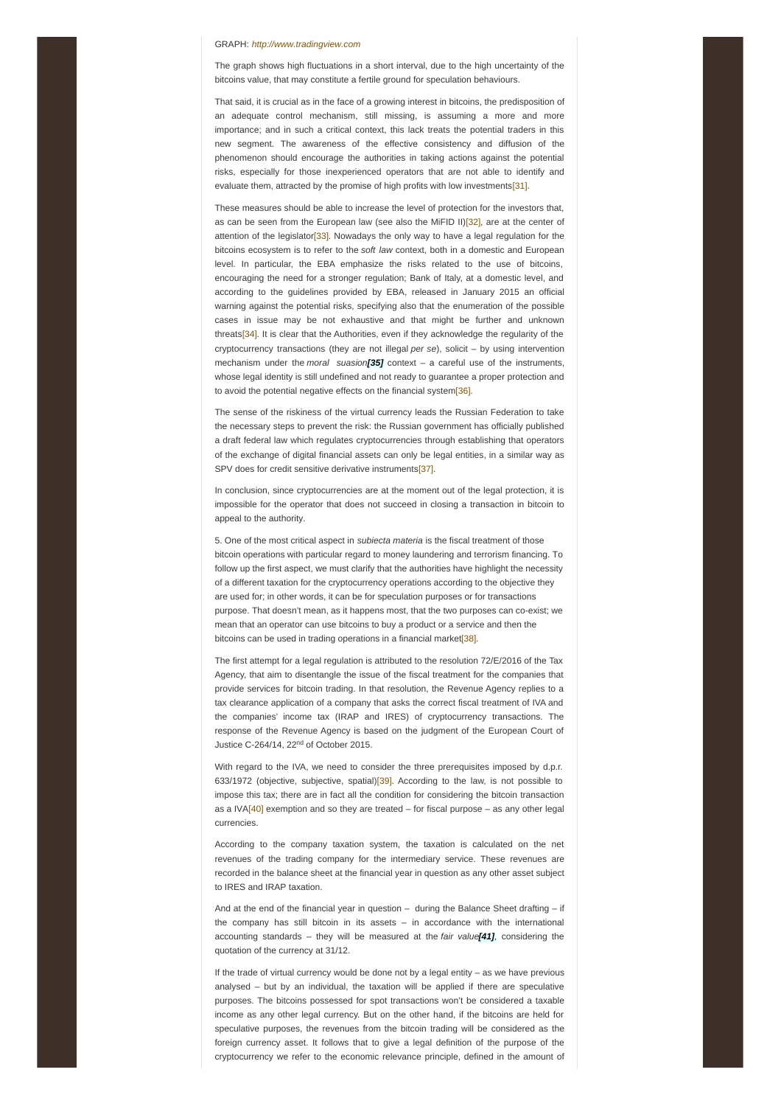#### GRAPH: *<http://www.tradingview.com>*

The graph shows high fluctuations in a short interval, due to the high uncertainty of the bitcoins value, that may constitute a fertile ground for speculation behaviours.

That said, it is crucial as in the face of a growing interest in bitcoins, the predisposition of an adequate control mechanism, still missing, is assuming a more and more importance; and in such a critical context, this lack treats the potential traders in this new segment. The awareness of the effective consistency and diffusion of the phenomenon should encourage the authorities in taking actions against the potential risks, especially for those inexperienced operators that are not able to identify and evaluate them, attracted by the promise of high profits with low investment[s\[31\]](#page-6-14).

<span id="page-3-2"></span><span id="page-3-1"></span><span id="page-3-0"></span>These measures should be able to increase the level of protection for the investors that, as can be seen from the European law (see also the MiFID II[\)\[32\]](#page-7-0), are at the center of attention of the legislator<sup>[33]</sup>. Nowadays the only way to have a legal regulation for the bitcoins ecosystem is to refer to the *soft law* context, both in a domestic and European level. In particular, the EBA emphasize the risks related to the use of bitcoins, encouraging the need for a stronger regulation; Bank of Italy, at a domestic level, and according to the guidelines provided by EBA, released in January 2015 an official warning against the potential risks, specifying also that the enumeration of the possible cases in issue may be not exhaustive and that might be further and unknown threats[\[34\]](#page-7-2). It is clear that the Authorities, even if they acknowledge the regularity of the cryptocurrency transactions (they are not illegal *per se*), solicit – by using intervention mechanism under the *moral suasion[\[35\]](#page-7-3)* context – a careful use of the instruments, whose legal identity is still undefined and not ready to guarantee a proper protection and to avoid the potential negative effects on the financial syste[m\[36\]](#page-7-4).

<span id="page-3-5"></span><span id="page-3-4"></span><span id="page-3-3"></span>The sense of the riskiness of the virtual currency leads the Russian Federation to take the necessary steps to prevent the risk: the Russian government has officially published a draft federal law which regulates cryptocurrencies through establishing that operators of the exchange of digital financial assets can only be legal entities, in a similar way as SPV does for credit sensitive derivative instrument[s\[37\]](#page-7-5).

<span id="page-3-6"></span>In conclusion, since cryptocurrencies are at the moment out of the legal protection, it is impossible for the operator that does not succeed in closing a transaction in bitcoin to appeal to the authority.

5. One of the most critical aspect in *subiecta materia* is the fiscal treatment of those bitcoin operations with particular regard to money laundering and terrorism financing. To follow up the first aspect, we must clarify that the authorities have highlight the necessity of a different taxation for the cryptocurrency operations according to the objective they are used for; in other words, it can be for speculation purposes or for transactions purpose. That doesn't mean, as it happens most, that the two purposes can co-exist; we mean that an operator can use bitcoins to buy a product or a service and then the bitcoins can be used in trading operations in a financial market<sup>[38]</sup>.

<span id="page-3-7"></span>The first attempt for a legal regulation is attributed to the resolution 72/E/2016 of the Tax Agency, that aim to disentangle the issue of the fiscal treatment for the companies that provide services for bitcoin trading. In that resolution, the Revenue Agency replies to a tax clearance application of a company that asks the correct fiscal treatment of IVA and the companies' income tax (IRAP and IRES) of cryptocurrency transactions. The response of the Revenue Agency is based on the judgment of the European Court of Justice C-264/14, 22<sup>nd</sup> of October 2015.

<span id="page-3-8"></span>With regard to the IVA, we need to consider the three prerequisites imposed by d.p.r. 633/1972 (objective, subjective, spatial[\)\[39\]](#page-7-7). According to the law, is not possible to impose this tax; there are in fact all the condition for considering the bitcoin transaction as a IVA $[40]$  exemption and so they are treated – for fiscal purpose – as any other legal currencies.

<span id="page-3-9"></span>According to the company taxation system, the taxation is calculated on the net revenues of the trading company for the intermediary service. These revenues are recorded in the balance sheet at the financial year in question as any other asset subject to IRES and IRAP taxation.

<span id="page-3-10"></span>And at the end of the financial year in question – during the Balance Sheet drafting – if the company has still bitcoin in its assets – in accordance with the international accounting standards – they will be measured at the *fair value[\[41\]](#page-7-9),* considering the quotation of the currency at 31/12.

If the trade of virtual currency would be done not by a legal entity – as we have previous analysed – but by an individual, the taxation will be applied if there are speculative purposes. The bitcoins possessed for spot transactions won't be considered a taxable income as any other legal currency. But on the other hand, if the bitcoins are held for speculative purposes, the revenues from the bitcoin trading will be considered as the foreign currency asset. It follows that to give a legal definition of the purpose of the cryptocurrency we refer to the economic relevance principle, defined in the amount of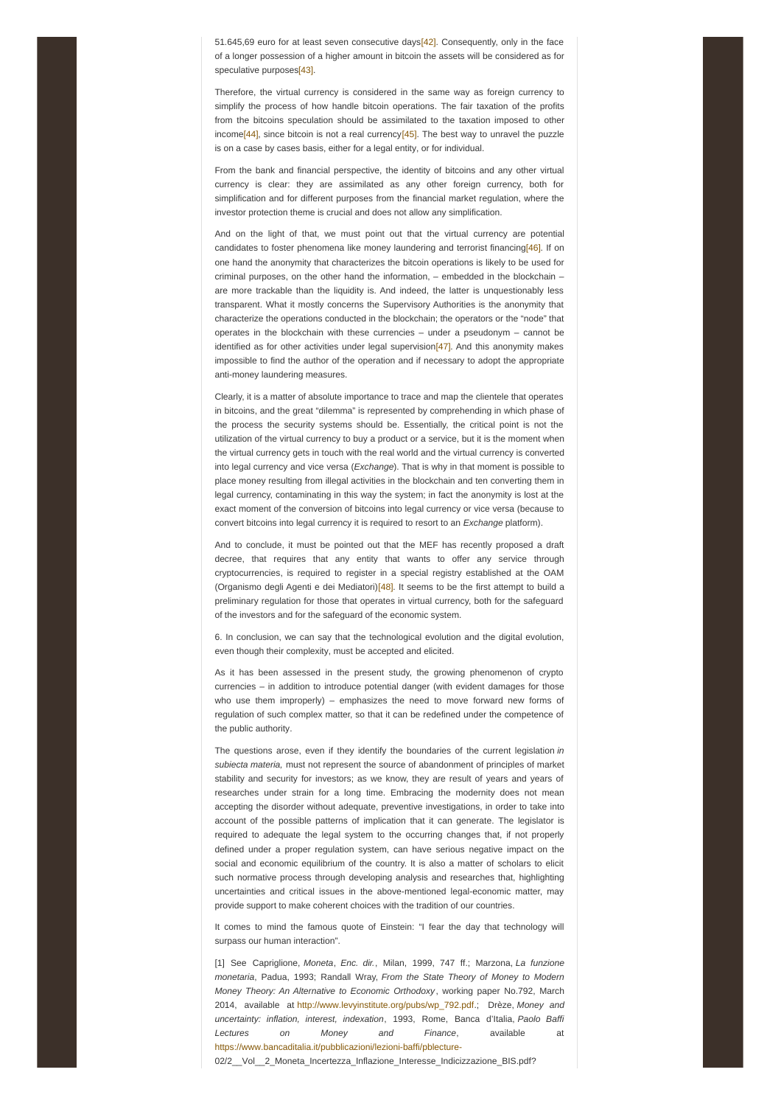<span id="page-4-0"></span>51.645,69 euro for at least seven consecutive days[\[42\]](#page-7-10). Consequently, only in the face of a longer possession of a higher amount in bitcoin the assets will be considered as for speculative purpose[s\[43\]](#page-7-11).

<span id="page-4-1"></span>Therefore, the virtual currency is considered in the same way as foreign currency to simplify the process of how handle bitcoin operations. The fair taxation of the profits from the bitcoins speculation should be assimilated to the taxation imposed to other income<sup>[44]</sup>, since bitcoin is not a real currency<sup>[\[45\]](#page-7-13)</sup>. The best way to unravel the puzzle is on a case by cases basis, either for a legal entity, or for individual.

<span id="page-4-3"></span><span id="page-4-2"></span>From the bank and financial perspective, the identity of bitcoins and any other virtual currency is clear: they are assimilated as any other foreign currency, both for simplification and for different purposes from the financial market regulation, where the investor protection theme is crucial and does not allow any simplification.

<span id="page-4-4"></span>And on the light of that, we must point out that the virtual currency are potential candidates to foster phenomena like money laundering and terrorist financing[\[46\]](#page-7-14). If on one hand the anonymity that characterizes the bitcoin operations is likely to be used for criminal purposes, on the other hand the information, – embedded in the blockchain – are more trackable than the liquidity is. And indeed, the latter is unquestionably less transparent. What it mostly concerns the Supervisory Authorities is the anonymity that characterize the operations conducted in the blockchain; the operators or the "node" that operates in the blockchain with these currencies  $-$  under a pseudonym  $-$  cannot be identified as for other activities under legal supervision $[47]$ . And this anonymity makes impossible to find the author of the operation and if necessary to adopt the appropriate anti-money laundering measures.

<span id="page-4-5"></span>Clearly, it is a matter of absolute importance to trace and map the clientele that operates in bitcoins, and the great "dilemma" is represented by comprehending in which phase of the process the security systems should be. Essentially, the critical point is not the utilization of the virtual currency to buy a product or a service, but it is the moment when the virtual currency gets in touch with the real world and the virtual currency is converted into legal currency and vice versa (*Exchange*). That is why in that moment is possible to place money resulting from illegal activities in the blockchain and ten converting them in legal currency, contaminating in this way the system; in fact the anonymity is lost at the exact moment of the conversion of bitcoins into legal currency or vice versa (because to convert bitcoins into legal currency it is required to resort to an *Exchange* platform).

<span id="page-4-6"></span>And to conclude, it must be pointed out that the MEF has recently proposed a draft decree, that requires that any entity that wants to offer any service through cryptocurrencies, is required to register in a special registry established at the OAM (Organismo degli Agenti e dei Mediatori)[\[48\]](#page-7-16). It seems to be the first attempt to build a preliminary regulation for those that operates in virtual currency, both for the safeguard of the investors and for the safeguard of the economic system.

6. In conclusion, we can say that the technological evolution and the digital evolution, even though their complexity, must be accepted and elicited.

As it has been assessed in the present study, the growing phenomenon of crypto currencies – in addition to introduce potential danger (with evident damages for those who use them improperly) – emphasizes the need to move forward new forms of regulation of such complex matter, so that it can be redefined under the competence of the public authority.

The questions arose, even if they identify the boundaries of the current legislation *in subiecta materia,* must not represent the source of abandonment of principles of market stability and security for investors; as we know, they are result of years and years of researches under strain for a long time. Embracing the modernity does not mean accepting the disorder without adequate, preventive investigations, in order to take into account of the possible patterns of implication that it can generate. The legislator is required to adequate the legal system to the occurring changes that, if not properly defined under a proper regulation system, can have serious negative impact on the social and economic equilibrium of the country. It is also a matter of scholars to elicit such normative process through developing analysis and researches that, highlighting uncertainties and critical issues in the above-mentioned legal-economic matter, may provide support to make coherent choices with the tradition of our countries.

It comes to mind the famous quote of Einstein: "I fear the day that technology will surpass our human interaction".

[1] See Capriglione, *Moneta*, *Enc. dir.*, Milan, 1999, 747 ff.; Marzona, *La funzione monetaria*, Padua, 1993; Randall Wray, *From the State Theory of Money to Modern Money Theory: An Alternative to Economic Orthodoxy*, working paper No.792, March 2014, available at [http://www.levyinstitute.org/pubs/wp\\_792.pdf](http://www.levyinstitute.org/pubs/wp_792.pdf).; Drèze, *Money and uncertainty: inflation, interest, indexation*, 1993, Rome, Banca d'Italia, *Paolo Baffi Lectures on Money and Finance*, available at <https://www.bancaditalia.it/pubblicazioni/lezioni-baffi/pblecture->

02/2 Vol 2 Moneta Incertezza Inflazione Interesse Indicizzazione BIS.pdf?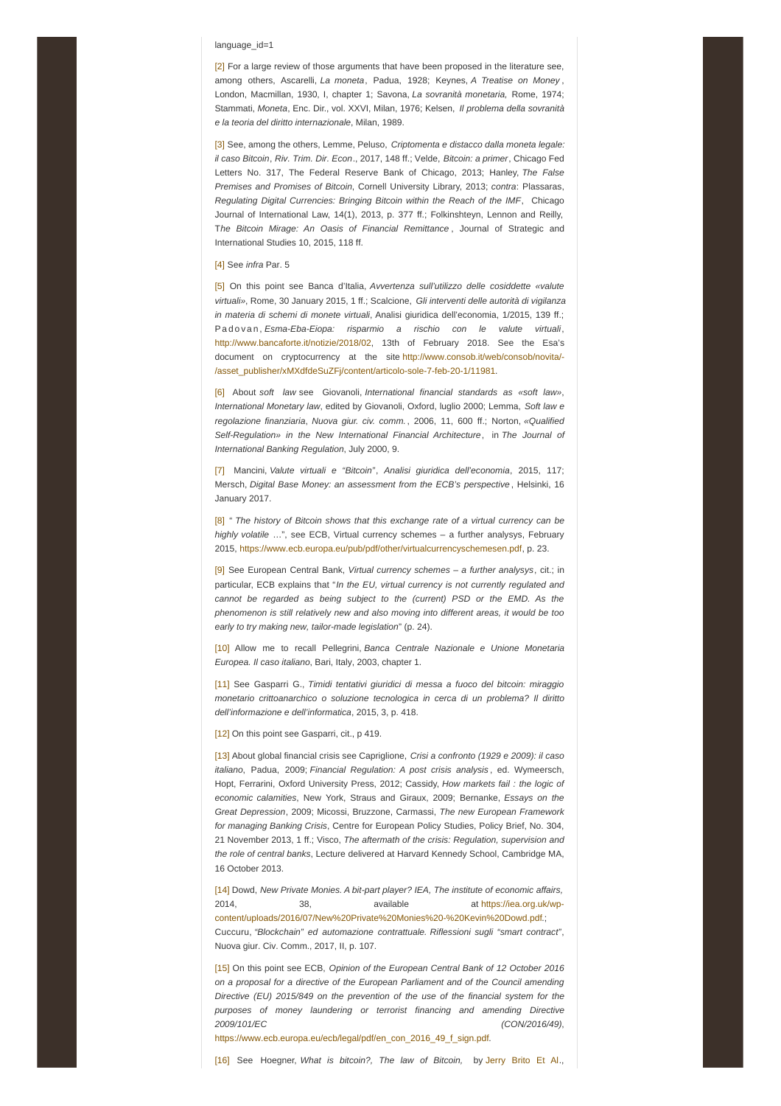### language\_id=1

<span id="page-5-0"></span>[\[2\]](#page-0-1) For a large review of those arguments that have been proposed in the literature see, among others, Ascarelli, *La moneta*, Padua, 1928; Keynes, *A Treatise on Money* , London, Macmillan, 1930, I, chapter 1; Savona, *La sovranità monetaria,* Rome, 1974; Stammati, *Moneta*, Enc. Dir., vol. XXVI, Milan, 1976; Kelsen, *Il problema della sovranità e la teoria del diritto internazionale*, Milan, 1989.

<span id="page-5-1"></span>[\[3\]](#page-0-2) See, among the others, Lemme, Peluso, *Criptomenta e distacco dalla moneta legale: il caso Bitcoin*, *Riv. Trim. Dir. Econ*., 2017, 148 ff.; Velde, *Bitcoin: a primer*, Chicago Fed Letters No. 317, The Federal Reserve Bank of Chicago, 2013; Hanley, *The False Premises and Promises of Bitcoin*, Cornell University Library, 2013; *contra*: Plassaras, *Regulating Digital Currencies: Bringing Bitcoin within the Reach of the IMF*, Chicago Journal of International Law, 14(1), 2013, p. 377 ff.; Folkinshteyn, Lennon and Reilly, T*he Bitcoin Mirage: An Oasis of Financial Remittance* , Journal of Strategic and International Studies 10, 2015, 118 ff.

## <span id="page-5-2"></span>[\[4\]](#page-0-3) See *infra* Par. 5

<span id="page-5-3"></span>[\[5\]](#page-0-4) On this point see Banca d'Italia, *Avvertenza sull'utilizzo delle cosiddette «valute virtuali»*, Rome, 30 January 2015, 1 ff.; Scalcione, *Gli interventi delle autorità di vigilanza in materia di schemi di monete virtuali*, Analisi giuridica dell'economia, 1/2015, 139 ff.; Pa d o v a n , *Esma-Eba-Eiopa: risparmio a rischio con le valute virtuali*, <http://www.bancaforte.it/notizie/2018/02>, 13th of February 2018. See the Esa's document on cryptocurrency at the site http://www.consob.it/web/consob/novita/- [/asset\\_publisher/xMXdfdeSuZFj/content/articolo-sole-7-feb-20-1/11981.](http://www.consob.it/web/consob/novita/-/asset_publisher/xMXdfdeSuZFj/content/articolo-sole-7-feb-20-1/11981)

<span id="page-5-4"></span>[\[6\]](#page-0-5) About *soft law* see Giovanoli, *International financial standards as «soft law»*, *International Monetary law*, edited by Giovanoli, Oxford, luglio 2000; Lemma, *Soft law e regolazione finanziaria*, *Nuova giur. civ. comm.*, 2006, 11, 600 ff.; Norton, *«Qualified Self-Regulation» in the New International Financial Architecture*, in *The Journal of International Banking Regulation*, July 2000, 9.

<span id="page-5-5"></span>[\[7\]](#page-0-6) Mancini, *Valute virtuali e "Bitcoin"*, *Analisi giuridica dell'economia*, 2015, 117; Mersch, *Digital Base Money: an assessment from the ECB's perspective* , Helsinki, 16 January 2017.

<span id="page-5-6"></span>[\[8\]](#page-1-0) " *The history of Bitcoin shows that this exchange rate of a virtual currency can be highly volatile* …", see ECB, Virtual currency schemes – a further analysys, February 2015, <https://www.ecb.europa.eu/pub/pdf/other/virtualcurrencyschemesen.pdf>, p. 23.

<span id="page-5-7"></span>[\[9\]](#page-1-1) See European Central Bank, *Virtual currency schemes – a further analysys*, cit.; in particular, ECB explains that "*In the EU, virtual currency is not currently regulated and cannot be regarded as being subject to the (current) PSD or the EMD. As the phenomenon is still relatively new and also moving into different areas, it would be too early to try making new, tailor-made legislation*" (p. 24).

<span id="page-5-8"></span>[\[10\]](#page-1-2) Allow me to recall Pellegrini, *Banca Centrale Nazionale e Unione Monetaria Europea. Il caso italiano*, Bari, Italy, 2003, chapter 1.

<span id="page-5-9"></span>[\[11\]](#page-1-3) See Gasparri G., *Timidi tentativi giuridici di messa a fuoco del bitcoin: miraggio monetario crittoanarchico o soluzione tecnologica in cerca di un problema? Il diritto dell'informazione e dell'informatica*, 2015, 3, p. 418.

<span id="page-5-10"></span>[\[12\]](#page-1-4) On this point see Gasparri, cit., p 419.

<span id="page-5-11"></span>[\[13\]](#page-1-5) About global financial crisis see Capriglione, *Crisi a confronto (1929 e 2009): il caso italiano*, Padua, 2009; *Financial Regulation: A post crisis analysis* , ed. Wymeersch, Hopt, Ferrarini, Oxford University Press, 2012; Cassidy, *How markets fail : the logic of economic calamities*, New York, Straus and Giraux, 2009; Bernanke, *Essays on the Great Depression*, 2009; Micossi, Bruzzone, Carmassi, *The new European Framework for managing Banking Crisis*, Centre for European Policy Studies, Policy Brief, No. 304, 21 November 2013, 1 ff.; Visco, *The aftermath of the crisis: Regulation, supervision and the role of central banks*, Lecture delivered at Harvard Kennedy School, Cambridge MA, 16 October 2013.

<span id="page-5-12"></span>[\[14\]](#page-1-6) Dowd, *New Private Monies. A bit-part player? IEA, The institute of economic affairs,* 2014, 38, available at https://iea.org.uk/wp[content/uploads/2016/07/New%20Private%20Monies%20-%20Kevin%20Dowd.pdf.;](https://iea.org.uk/wp-content/uploads/2016/07/New Private Monies - Kevin Dowd.pdf) Cuccuru, *"Blockchain" ed automazione contrattuale. Riflessioni sugli "smart contract"*, Nuova giur. Civ. Comm., 2017, II, p. 107.

<span id="page-5-13"></span>[\[15\]](#page-1-7) On this point see ECB, *Opinion of the European Central Bank of 12 October 2016 on a proposal for a directive of the European Parliament and of the Council amending Directive (EU) 2015/849 on the prevention of the use of the financial system for the purposes of money laundering or terrorist financing and amending Directive 2009/101/EC (CON/2016/49)*,

[https://www.ecb.europa.eu/ecb/legal/pdf/en\\_con\\_2016\\_49\\_f\\_sign.pdf](https://www.ecb.europa.eu/ecb/legal/pdf/en_con_2016_49_f_sign.pdf).

<span id="page-5-14"></span>[\[16\]](#page-1-8) See Hoegner, *What is bitcoin?, The law of Bitcoin,* by [Jerry](https://www.amazon.com/s/ref=dp_byline_sr_book_1?ie=UTF8&text=Jerry+Brito+Et+Al.&search-alias=books&field-author=Jerry+Brito+Et+Al.&sort=relevancerank) Brito Et Al.,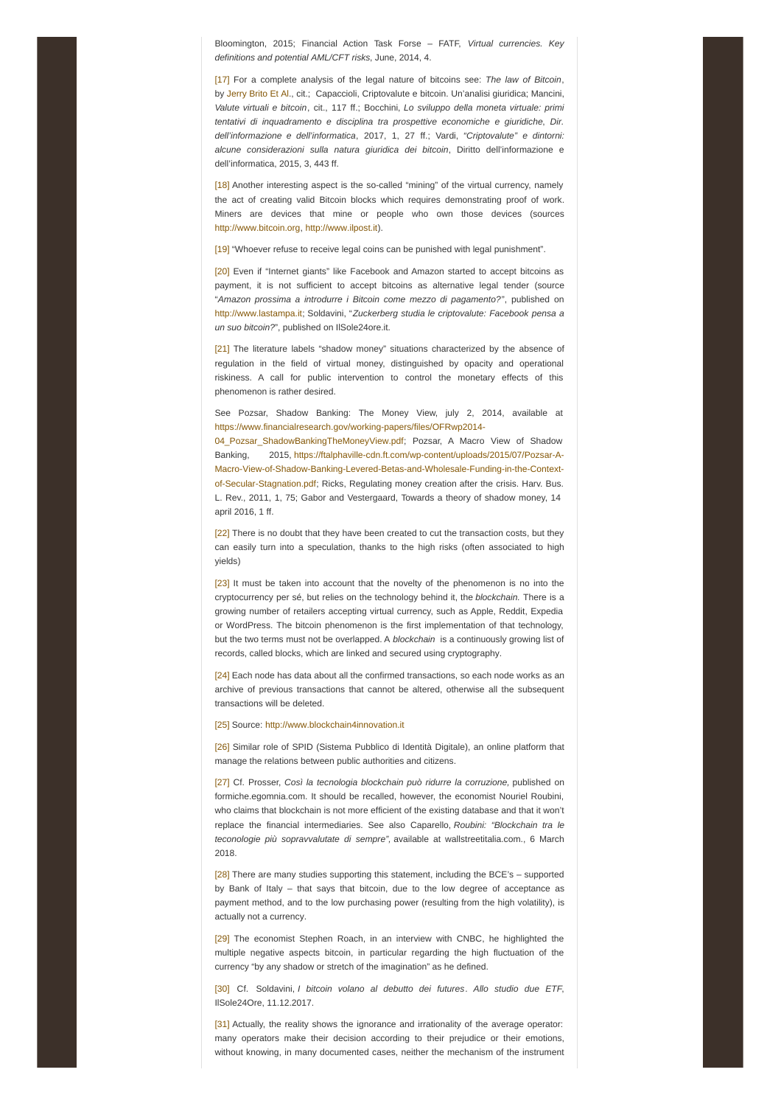Bloomington, 2015; Financial Action Task Forse – FATF, *Virtual currencies. Key definitions and potential AML/CFT risks*, June, 2014, 4.

<span id="page-6-0"></span>[\[17\]](#page-1-9) For a complete analysis of the legal nature of bitcoins see: *The law of Bitcoin*, by [Jerry](https://www.amazon.com/s/ref=dp_byline_sr_book_1?ie=UTF8&text=Jerry+Brito+Et+Al.&search-alias=books&field-author=Jerry+Brito+Et+Al.&sort=relevancerank) Brito Et Al., cit.; Capaccioli, Criptovalute e bitcoin. Un'analisi giuridica; Mancini, *Valute virtuali e bitcoin*, cit., 117 ff.; Bocchini, *Lo sviluppo della moneta virtuale: primi tentativi di inquadramento e disciplina tra prospettive economiche e giuridiche*, *Dir. dell'informazione e dell'informatica*, 2017, 1, 27 ff.; Vardi, *"Criptovalute" e dintorni: alcune considerazioni sulla natura giuridica dei bitcoin*, Diritto dell'informazione e dell'informatica, 2015, 3, 443 ff.

<span id="page-6-1"></span>[\[18\]](#page-1-10) Another interesting aspect is the so-called "mining" of the virtual currency, namely the act of creating valid Bitcoin blocks which requires demonstrating proof of work. Miners are devices that mine or people who own those devices (sources <http://www.bitcoin.org>, <http://www.ilpost.it>).

<span id="page-6-2"></span>[\[19\]](#page-1-11) "Whoever refuse to receive legal coins can be punished with legal punishment".

<span id="page-6-3"></span>[\[20\]](#page-1-12) Even if "Internet giants" like Facebook and Amazon started to accept bitcoins as payment, it is not sufficient to accept bitcoins as alternative legal tender (source "*Amazon prossima a introdurre i Bitcoin come mezzo di pagamento?*", published on <http://www.lastampa.it>; Soldavini, "*Zuckerberg studia le criptovalute: Facebook pensa a un suo bitcoin?*", published on IlSole24ore.it.

<span id="page-6-4"></span>[\[21\]](#page-2-0) The literature labels "shadow money" situations characterized by the absence of regulation in the field of virtual money, distinguished by opacity and operational riskiness. A call for public intervention to control the monetary effects of this phenomenon is rather desired.

See Pozsar, Shadow Banking: The Money View, july 2, 2014, available at [https://www.financialresearch.gov/working-papers/files/OFRwp2014-](https://www.financialresearch.gov/working-papers/files/OFRwp2014-04_Pozsar_ShadowBankingTheMoneyView.pdf)

04 Pozsar ShadowBankingTheMoneyView.pdf; Pozsar, A Macro View of Shadow Banking, 2015, https://ftalphaville-cdn.ft.com/wp-content/uploads/2015/07/Pozsar-A-[Macro-View-of-Shadow-Banking-Levered-Betas-and-Wholesale-Funding-in-the-Context](https://ftalphaville-cdn.ft.com/wp-content/uploads/2015/07/Pozsar-A-Macro-View-of-Shadow-Banking-Levered-Betas-and-Wholesale-Funding-in-the-Context-of-Secular-Stagnation.pdf)of-Secular-Stagnation.pdf; Ricks, Regulating money creation after the crisis. Harv. Bus. L. Rev., 2011, 1, 75; Gabor and Vestergaard, Towards a theory of shadow money, 14 april 2016, 1 ff.

<span id="page-6-5"></span>[\[22\]](#page-2-1) There is no doubt that they have been created to cut the transaction costs, but they can easily turn into a speculation, thanks to the high risks (often associated to high yields)

<span id="page-6-6"></span>[\[23\]](#page-2-2) It must be taken into account that the novelty of the phenomenon is no into the cryptocurrency per sé, but relies on the technology behind it, the *blockchain.* There is a growing number of retailers accepting virtual currency, such as Apple, Reddit, Expedia or WordPress. The bitcoin phenomenon is the first implementation of that technology, but the two terms must not be overlapped. A *blockchain* is a continuously growing list of records, called blocks, which are linked and secured using cryptography.

<span id="page-6-7"></span>[\[24\]](#page-2-3) Each node has data about all the confirmed transactions, so each node works as an archive of previous transactions that cannot be altered, otherwise all the subsequent transactions will be deleted.

## <span id="page-6-8"></span>[\[25\]](#page-2-4) Source: <http://www.blockchain4innovation.it>

<span id="page-6-9"></span>[\[26\]](#page-2-5) Similar role of SPID (Sistema Pubblico di Identità Digitale), an online platform that manage the relations between public authorities and citizens.

<span id="page-6-10"></span>[\[27\]](#page-2-6) Cf. Prosser, *Così la tecnologia blockchain può ridurre la corruzione,* published on formiche.egomnia.com. It should be recalled, however, the economist Nouriel Roubini, who claims that blockchain is not more efficient of the existing database and that it won't replace the financial intermediaries. See also Caparello, *Roubini: "Blockchain tra le teconologie più sopravvalutate di sempre",* available at wallstreetitalia.com., 6 March 2018.

<span id="page-6-11"></span>[\[28\]](#page-2-7) There are many studies supporting this statement, including the BCE's – supported by Bank of Italy – that says that bitcoin, due to the low degree of acceptance as payment method, and to the low purchasing power (resulting from the high volatility), is actually not a currency.

<span id="page-6-12"></span>[\[29\]](#page-2-8) The economist Stephen Roach, in an interview with CNBC, he highlighted the multiple negative aspects bitcoin, in particular regarding the high fluctuation of the currency "by any shadow or stretch of the imagination" as he defined.

<span id="page-6-13"></span>[\[30\]](#page-2-9) Cf. Soldavini, *I bitcoin volano al debutto dei futures*. *Allo studio due ETF*, IlSole24Ore, 11.12.2017.

<span id="page-6-14"></span>[\[31\]](#page-3-0) Actually, the reality shows the ignorance and irrationality of the average operator: many operators make their decision according to their prejudice or their emotions, without knowing, in many documented cases, neither the mechanism of the instrument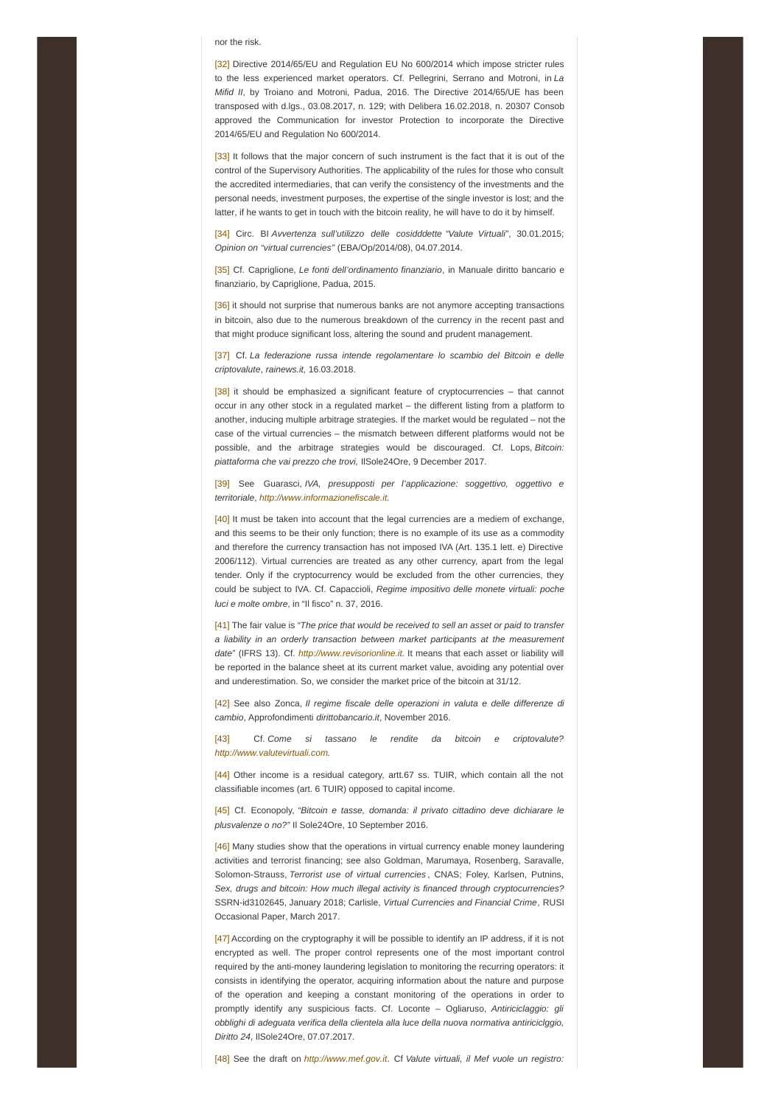#### nor the risk.

<span id="page-7-0"></span>[\[32\]](#page-3-1) Directive 2014/65/EU and Regulation EU No 600/2014 which impose stricter rules to the less experienced market operators. Cf. Pellegrini, Serrano and Motroni, in *La Mifid II*, by Troiano and Motroni, Padua, 2016. The Directive 2014/65/UE has been transposed with d.lgs., 03.08.2017, n. 129; with Delibera 16.02.2018, n. 20307 Consob approved the Communication for investor Protection to incorporate the Directive 2014/65/EU and Regulation No 600/2014.

<span id="page-7-1"></span>[\[33\]](#page-3-2) It follows that the major concern of such instrument is the fact that it is out of the control of the Supervisory Authorities. The applicability of the rules for those who consult the accredited intermediaries, that can verify the consistency of the investments and the personal needs, investment purposes, the expertise of the single investor is lost; and the latter, if he wants to get in touch with the bitcoin reality, he will have to do it by himself.

<span id="page-7-2"></span>[\[34\]](#page-3-3) Circ. BI *Avvertenza sull'utilizzo delle cosidddette "Valute Virtuali"*, 30.01.2015; *Opinion on "virtual currencies"* (EBA/Op/2014/08), 04.07.2014.

<span id="page-7-3"></span>[\[35\]](#page-3-4) Cf. Capriglione, *Le fonti dell'ordinamento finanziario*, in Manuale diritto bancario e finanziario, by Capriglione, Padua, 2015.

<span id="page-7-4"></span>[\[36\]](#page-3-5) it should not surprise that numerous banks are not anymore accepting transactions in bitcoin, also due to the numerous breakdown of the currency in the recent past and that might produce significant loss, altering the sound and prudent management.

<span id="page-7-5"></span>[\[37\]](#page-3-6) Cf. *La federazione russa intende regolamentare lo scambio del Bitcoin e delle criptovalute*, *rainews.it,* 16.03.2018.

<span id="page-7-6"></span> $[38]$  it should be emphasized a significant feature of cryptocurrencies – that cannot occur in any other stock in a regulated market – the different listing from a platform to another, inducing multiple arbitrage strategies. If the market would be regulated – not the case of the virtual currencies – the mismatch between different platforms would not be possible, and the arbitrage strategies would be discouraged. Cf. Lops, *Bitcoin: piattaforma che vai prezzo che trovi,* IlSole24Ore, 9 December 2017.

<span id="page-7-7"></span>[\[39\]](#page-3-8) See Guarasci, *IVA, presupposti per l'applicazione: soggettivo, oggettivo e territoriale*, *<http://www.informazionefiscale.it>.*

<span id="page-7-8"></span>[\[40\]](#page-3-9) It must be taken into account that the legal currencies are a mediem of exchange, and this seems to be their only function; there is no example of its use as a commodity and therefore the currency transaction has not imposed IVA (Art. 135.1 lett. e) Directive 2006/112). Virtual currencies are treated as any other currency, apart from the legal tender. Only if the cryptocurrency would be excluded from the other currencies, they could be subject to IVA. Cf. Capaccioli, *Regime impositivo delle monete virtuali: poche luci e molte ombre*, in "Il fisco" n. 37, 2016.

<span id="page-7-9"></span>[\[41\]](#page-3-10) The fair value is *"The price that would be received to sell an asset or paid to transfer a liability in an orderly transaction between market participants at the measurement date"* (IFRS 13). Cf. *<http://www.revisorionline.it>*. It means that each asset or liability will be reported in the balance sheet at its current market value, avoiding any potential over and underestimation. So, we consider the market price of the bitcoin at 31/12.

<span id="page-7-10"></span>[\[42\]](#page-4-0) See also Zonca, *Il regime fiscale delle operazioni in valuta e delle differenze di cambio*, Approfondimenti *dirittobancario.it*, November 2016.

<span id="page-7-11"></span>[\[43\]](#page-4-1) Cf. *Come si tassano le rendite da bitcoin e criptovalute? <http://www.valutevirtuali.com>.*

<span id="page-7-12"></span>[\[44\]](#page-4-2) Other income is a residual category, artt.67 ss. TUIR, which contain all the not classifiable incomes (art. 6 TUIR) opposed to capital income.

<span id="page-7-13"></span>[\[45\]](#page-4-3) Cf. Econopoly, *"Bitcoin e tasse, domanda: il privato cittadino deve dichiarare le plusvalenze o no?"* Il Sole24Ore, 10 September 2016.

<span id="page-7-14"></span>[\[46\]](#page-4-4) Many studies show that the operations in virtual currency enable money laundering activities and terrorist financing; see also Goldman, Marumaya, Rosenberg, Saravalle, Solomon-Strauss, *Terrorist use of virtual currencies* , CNAS; Foley, Karlsen, Putnins, *Sex, drugs and bitcoin: How much illegal activity is financed through cryptocurrencies?* SSRN-id3102645, January 2018; Carlisle, *Virtual Currencies and Financial Crime*, RUSI Occasional Paper, March 2017.

<span id="page-7-15"></span>[\[47\]](#page-4-5) According on the cryptography it will be possible to identify an IP address, if it is not encrypted as well. The proper control represents one of the most important control required by the anti-money laundering legislation to monitoring the recurring operators: it consists in identifying the operator, acquiring information about the nature and purpose of the operation and keeping a constant monitoring of the operations in order to promptly identify any suspicious facts. Cf. Loconte – Ogliaruso, *Antiriciclaggio: gli obblighi di adeguata verifica della clientela alla luce della nuova normativa antiriciclggio, Diritto 24*, IlSole24Ore, 07.07.2017.

<span id="page-7-16"></span>[\[48\]](#page-4-6) See the draft on *<http://www.mef.gov.it>*. Cf *Valute virtuali, il Mef vuole un registro:*